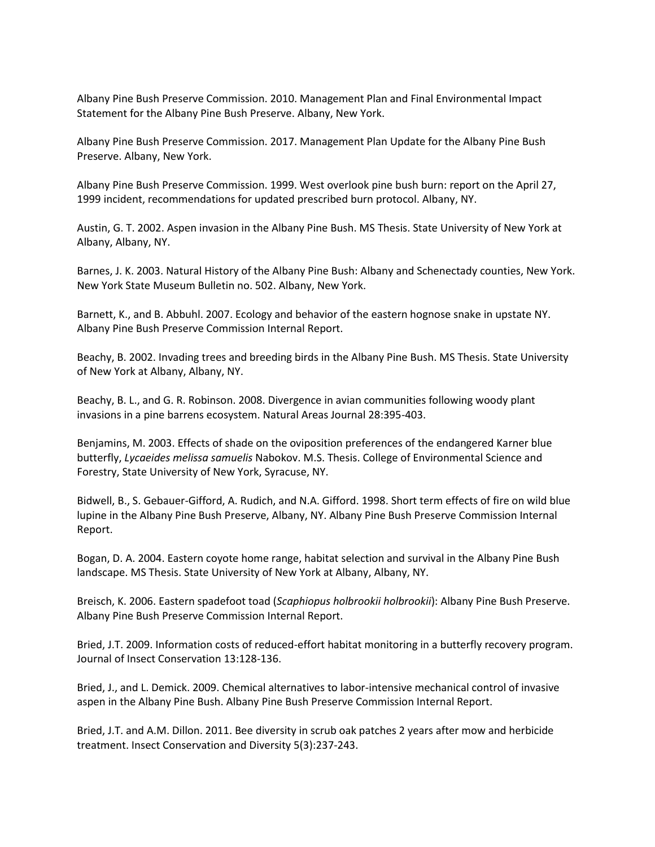Albany Pine Bush Preserve Commission. 2010. Management Plan and Final Environmental Impact Statement for the Albany Pine Bush Preserve. Albany, New York.

Albany Pine Bush Preserve Commission. 2017. Management Plan Update for the Albany Pine Bush Preserve. Albany, New York.

Albany Pine Bush Preserve Commission. 1999. West overlook pine bush burn: report on the April 27, 1999 incident, recommendations for updated prescribed burn protocol. Albany, NY.

Austin, G. T. 2002. Aspen invasion in the Albany Pine Bush. MS Thesis. State University of New York at Albany, Albany, NY.

Barnes, J. K. 2003. Natural History of the Albany Pine Bush: Albany and Schenectady counties, New York. New York State Museum Bulletin no. 502. Albany, New York.

Barnett, K., and B. Abbuhl. 2007. Ecology and behavior of the eastern hognose snake in upstate NY. Albany Pine Bush Preserve Commission Internal Report.

Beachy, B. 2002. Invading trees and breeding birds in the Albany Pine Bush. MS Thesis. State University of New York at Albany, Albany, NY.

Beachy, B. L., and G. R. Robinson. 2008. Divergence in avian communities following woody plant invasions in a pine barrens ecosystem. Natural Areas Journal 28:395-403.

Benjamins, M. 2003. Effects of shade on the oviposition preferences of the endangered Karner blue butterfly, *Lycaeides melissa samuelis* Nabokov. M.S. Thesis. College of Environmental Science and Forestry, State University of New York, Syracuse, NY.

Bidwell, B., S. Gebauer-Gifford, A. Rudich, and N.A. Gifford. 1998. Short term effects of fire on wild blue lupine in the Albany Pine Bush Preserve, Albany, NY. Albany Pine Bush Preserve Commission Internal Report.

Bogan, D. A. 2004. Eastern coyote home range, habitat selection and survival in the Albany Pine Bush landscape. MS Thesis. State University of New York at Albany, Albany, NY.

Breisch, K. 2006. Eastern spadefoot toad (*Scaphiopus holbrookii holbrookii*): Albany Pine Bush Preserve. Albany Pine Bush Preserve Commission Internal Report.

Bried, J.T. 2009. Information costs of reduced-effort habitat monitoring in a butterfly recovery program. Journal of Insect Conservation 13:128-136.

Bried, J., and L. Demick. 2009. Chemical alternatives to labor-intensive mechanical control of invasive aspen in the Albany Pine Bush. Albany Pine Bush Preserve Commission Internal Report.

Bried, J.T. and A.M. Dillon. 2011. Bee diversity in scrub oak patches 2 years after mow and herbicide treatment. Insect Conservation and Diversity 5(3):237-243.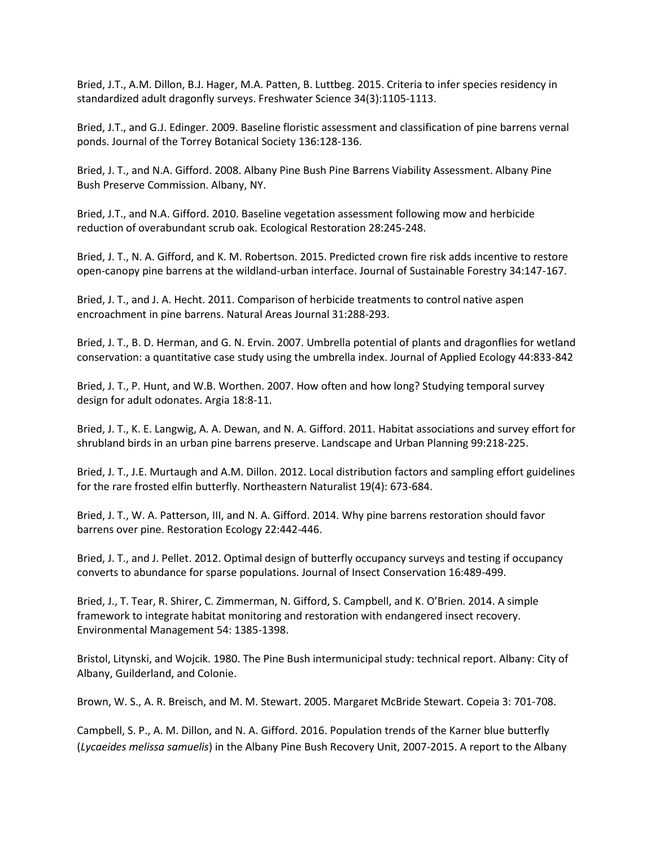Bried, J.T., A.M. Dillon, B.J. Hager, M.A. Patten, B. Luttbeg. 2015. Criteria to infer species residency in standardized adult dragonfly surveys. Freshwater Science 34(3):1105-1113.

Bried, J.T., and G.J. Edinger. 2009. Baseline floristic assessment and classification of pine barrens vernal ponds. Journal of the Torrey Botanical Society 136:128-136.

Bried, J. T., and N.A. Gifford. 2008. Albany Pine Bush Pine Barrens Viability Assessment. Albany Pine Bush Preserve Commission. Albany, NY.

Bried, J.T., and N.A. Gifford. 2010. Baseline vegetation assessment following mow and herbicide reduction of overabundant scrub oak. Ecological Restoration 28:245-248.

Bried, J. T., N. A. Gifford, and K. M. Robertson. 2015. Predicted crown fire risk adds incentive to restore open-canopy pine barrens at the wildland-urban interface. Journal of Sustainable Forestry 34:147-167.

Bried, J. T., and J. A. Hecht. 2011. Comparison of herbicide treatments to control native aspen encroachment in pine barrens. Natural Areas Journal 31:288-293.

Bried, J. T., B. D. Herman, and G. N. Ervin. 2007. Umbrella potential of plants and dragonflies for wetland conservation: a quantitative case study using the umbrella index. Journal of Applied Ecology 44:833-842

Bried, J. T., P. Hunt, and W.B. Worthen. 2007. How often and how long? Studying temporal survey design for adult odonates. Argia 18:8-11.

Bried, J. T., K. E. Langwig, A. A. Dewan, and N. A. Gifford. 2011. Habitat associations and survey effort for shrubland birds in an urban pine barrens preserve. Landscape and Urban Planning 99:218-225.

Bried, J. T., J.E. Murtaugh and A.M. Dillon. 2012. Local distribution factors and sampling effort guidelines for the rare frosted elfin butterfly. Northeastern Naturalist 19(4): 673-684.

Bried, J. T., W. A. Patterson, III, and N. A. Gifford. 2014. Why pine barrens restoration should favor barrens over pine. Restoration Ecology 22:442-446.

Bried, J. T., and J. Pellet. 2012. Optimal design of butterfly occupancy surveys and testing if occupancy converts to abundance for sparse populations. Journal of Insect Conservation 16:489-499.

Bried, J., T. Tear, R. Shirer, C. Zimmerman, N. Gifford, S. Campbell, and K. O'Brien. 2014. A simple framework to integrate habitat monitoring and restoration with endangered insect recovery. Environmental Management 54: 1385-1398.

Bristol, Litynski, and Wojcik. 1980. The Pine Bush intermunicipal study: technical report. Albany: City of Albany, Guilderland, and Colonie.

Brown, W. S., A. R. Breisch, and M. M. Stewart. 2005. Margaret McBride Stewart. Copeia 3: 701-708.

Campbell, S. P., A. M. Dillon, and N. A. Gifford. 2016. Population trends of the Karner blue butterfly (*Lycaeides melissa samuelis*) in the Albany Pine Bush Recovery Unit, 2007-2015. A report to the Albany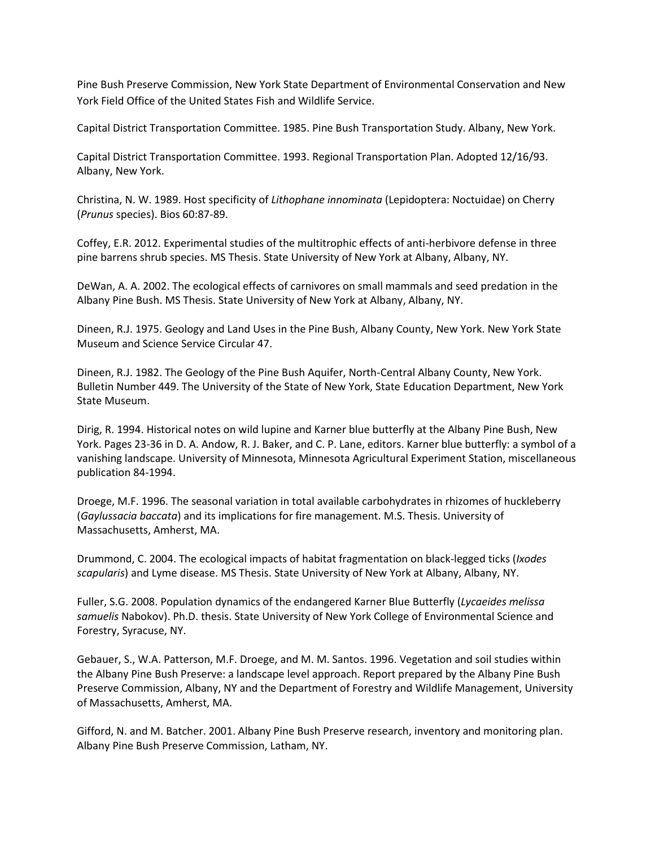Pine Bush Preserve Commission, New York State Department of Environmental Conservation and New York Field Office of the United States Fish and Wildlife Service.

Capital District Transportation Committee. 1985. Pine Bush Transportation Study. Albany, New York.

Capital District Transportation Committee. 1993. Regional Transportation Plan. Adopted 12/16/93. Albany, New York.

Christina, N. W. 1989. Host specificity of *Lithophane innominata* (Lepidoptera: Noctuidae) on Cherry (*Prunus* species). Bios 60:87-89.

Coffey, E.R. 2012. Experimental studies of the multitrophic effects of anti-herbivore defense in three pine barrens shrub species. MS Thesis. State University of New York at Albany, Albany, NY.

DeWan, A. A. 2002. The ecological effects of carnivores on small mammals and seed predation in the Albany Pine Bush. MS Thesis. State University of New York at Albany, Albany, NY.

Dineen, R.J. 1975. Geology and Land Uses in the Pine Bush, Albany County, New York. New York State Museum and Science Service Circular 47.

Dineen, R.J. 1982. The Geology of the Pine Bush Aquifer, North-Central Albany County, New York. Bulletin Number 449. The University of the State of New York, State Education Department, New York State Museum.

Dirig, R. 1994. Historical notes on wild lupine and Karner blue butterfly at the Albany Pine Bush, New York. Pages 23-36 in D. A. Andow, R. J. Baker, and C. P. Lane, editors. Karner blue butterfly: a symbol of a vanishing landscape. University of Minnesota, Minnesota Agricultural Experiment Station, miscellaneous publication 84-1994.

Droege, M.F. 1996. The seasonal variation in total available carbohydrates in rhizomes of huckleberry (*Gaylussacia baccata*) and its implications for fire management. M.S. Thesis. University of Massachusetts, Amherst, MA.

Drummond, C. 2004. The ecological impacts of habitat fragmentation on black-legged ticks (*Ixodes scapularis*) and Lyme disease. MS Thesis. State University of New York at Albany, Albany, NY.

Fuller, S.G. 2008. Population dynamics of the endangered Karner Blue Butterfly (*Lycaeides melissa samuelis* Nabokov). Ph.D. thesis. State University of New York College of Environmental Science and Forestry, Syracuse, NY.

Gebauer, S., W.A. Patterson, M.F. Droege, and M. M. Santos. 1996. Vegetation and soil studies within the Albany Pine Bush Preserve: a landscape level approach. Report prepared by the Albany Pine Bush Preserve Commission, Albany, NY and the Department of Forestry and Wildlife Management, University of Massachusetts, Amherst, MA.

Gifford, N. and M. Batcher. 2001. Albany Pine Bush Preserve research, inventory and monitoring plan. Albany Pine Bush Preserve Commission, Latham, NY.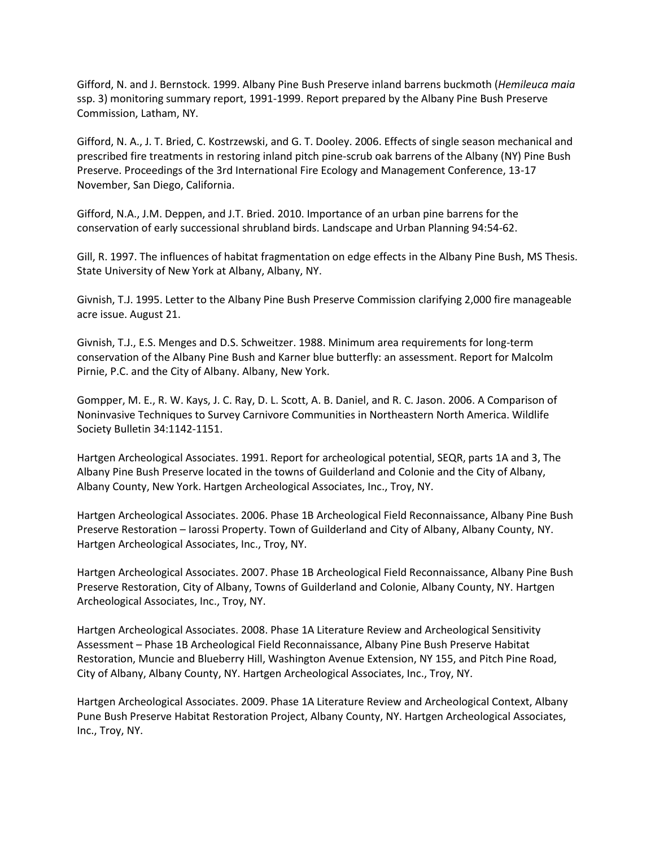Gifford, N. and J. Bernstock. 1999. Albany Pine Bush Preserve inland barrens buckmoth (*Hemileuca maia* ssp. 3) monitoring summary report, 1991-1999. Report prepared by the Albany Pine Bush Preserve Commission, Latham, NY.

Gifford, N. A., J. T. Bried, C. Kostrzewski, and G. T. Dooley. 2006. Effects of single season mechanical and prescribed fire treatments in restoring inland pitch pine-scrub oak barrens of the Albany (NY) Pine Bush Preserve. Proceedings of the 3rd International Fire Ecology and Management Conference, 13-17 November, San Diego, California.

Gifford, N.A., J.M. Deppen, and J.T. Bried. 2010. Importance of an urban pine barrens for the conservation of early successional shrubland birds. Landscape and Urban Planning 94:54-62.

Gill, R. 1997. The influences of habitat fragmentation on edge effects in the Albany Pine Bush, MS Thesis. State University of New York at Albany, Albany, NY.

Givnish, T.J. 1995. Letter to the Albany Pine Bush Preserve Commission clarifying 2,000 fire manageable acre issue. August 21.

Givnish, T.J., E.S. Menges and D.S. Schweitzer. 1988. Minimum area requirements for long-term conservation of the Albany Pine Bush and Karner blue butterfly: an assessment. Report for Malcolm Pirnie, P.C. and the City of Albany. Albany, New York.

Gompper, M. E., R. W. Kays, J. C. Ray, D. L. Scott, A. B. Daniel, and R. C. Jason. 2006. A Comparison of Noninvasive Techniques to Survey Carnivore Communities in Northeastern North America. Wildlife Society Bulletin 34:1142-1151.

Hartgen Archeological Associates. 1991. Report for archeological potential, SEQR, parts 1A and 3, The Albany Pine Bush Preserve located in the towns of Guilderland and Colonie and the City of Albany, Albany County, New York. Hartgen Archeological Associates, Inc., Troy, NY.

Hartgen Archeological Associates. 2006. Phase 1B Archeological Field Reconnaissance, Albany Pine Bush Preserve Restoration – Iarossi Property. Town of Guilderland and City of Albany, Albany County, NY. Hartgen Archeological Associates, Inc., Troy, NY.

Hartgen Archeological Associates. 2007. Phase 1B Archeological Field Reconnaissance, Albany Pine Bush Preserve Restoration, City of Albany, Towns of Guilderland and Colonie, Albany County, NY. Hartgen Archeological Associates, Inc., Troy, NY.

Hartgen Archeological Associates. 2008. Phase 1A Literature Review and Archeological Sensitivity Assessment – Phase 1B Archeological Field Reconnaissance, Albany Pine Bush Preserve Habitat Restoration, Muncie and Blueberry Hill, Washington Avenue Extension, NY 155, and Pitch Pine Road, City of Albany, Albany County, NY. Hartgen Archeological Associates, Inc., Troy, NY.

Hartgen Archeological Associates. 2009. Phase 1A Literature Review and Archeological Context, Albany Pune Bush Preserve Habitat Restoration Project, Albany County, NY. Hartgen Archeological Associates, Inc., Troy, NY.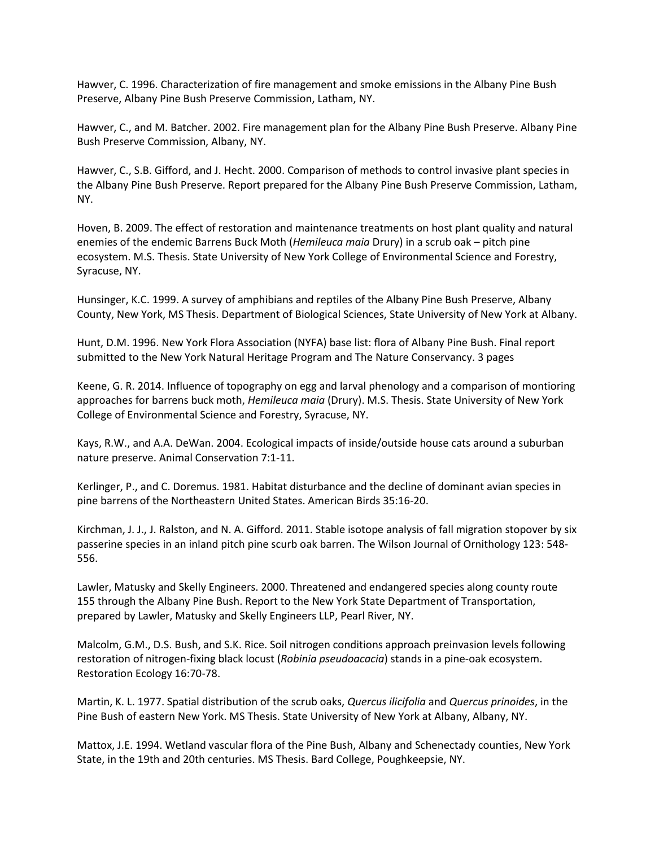Hawver, C. 1996. Characterization of fire management and smoke emissions in the Albany Pine Bush Preserve, Albany Pine Bush Preserve Commission, Latham, NY.

Hawver, C., and M. Batcher. 2002. Fire management plan for the Albany Pine Bush Preserve. Albany Pine Bush Preserve Commission, Albany, NY.

Hawver, C., S.B. Gifford, and J. Hecht. 2000. Comparison of methods to control invasive plant species in the Albany Pine Bush Preserve. Report prepared for the Albany Pine Bush Preserve Commission, Latham, NY.

Hoven, B. 2009. The effect of restoration and maintenance treatments on host plant quality and natural enemies of the endemic Barrens Buck Moth (*Hemileuca maia* Drury) in a scrub oak – pitch pine ecosystem. M.S. Thesis. State University of New York College of Environmental Science and Forestry, Syracuse, NY.

Hunsinger, K.C. 1999. A survey of amphibians and reptiles of the Albany Pine Bush Preserve, Albany County, New York, MS Thesis. Department of Biological Sciences, State University of New York at Albany.

Hunt, D.M. 1996. New York Flora Association (NYFA) base list: flora of Albany Pine Bush. Final report submitted to the New York Natural Heritage Program and The Nature Conservancy. 3 pages

Keene, G. R. 2014. Influence of topography on egg and larval phenology and a comparison of montioring approaches for barrens buck moth, *Hemileuca maia* (Drury). M.S. Thesis. State University of New York College of Environmental Science and Forestry, Syracuse, NY.

Kays, R.W., and A.A. DeWan. 2004. Ecological impacts of inside/outside house cats around a suburban nature preserve. Animal Conservation 7:1-11.

Kerlinger, P., and C. Doremus. 1981. Habitat disturbance and the decline of dominant avian species in pine barrens of the Northeastern United States. American Birds 35:16-20.

Kirchman, J. J., J. Ralston, and N. A. Gifford. 2011. Stable isotope analysis of fall migration stopover by six passerine species in an inland pitch pine scurb oak barren. The Wilson Journal of Ornithology 123: 548- 556.

Lawler, Matusky and Skelly Engineers. 2000. Threatened and endangered species along county route 155 through the Albany Pine Bush. Report to the New York State Department of Transportation, prepared by Lawler, Matusky and Skelly Engineers LLP, Pearl River, NY.

Malcolm, G.M., D.S. Bush, and S.K. Rice. Soil nitrogen conditions approach preinvasion levels following restoration of nitrogen-fixing black locust (*Robinia pseudoacacia*) stands in a pine-oak ecosystem. Restoration Ecology 16:70-78.

Martin, K. L. 1977. Spatial distribution of the scrub oaks, *Quercus ilicifolia* and *Quercus prinoides*, in the Pine Bush of eastern New York. MS Thesis. State University of New York at Albany, Albany, NY.

Mattox, J.E. 1994. Wetland vascular flora of the Pine Bush, Albany and Schenectady counties, New York State, in the 19th and 20th centuries. MS Thesis. Bard College, Poughkeepsie, NY.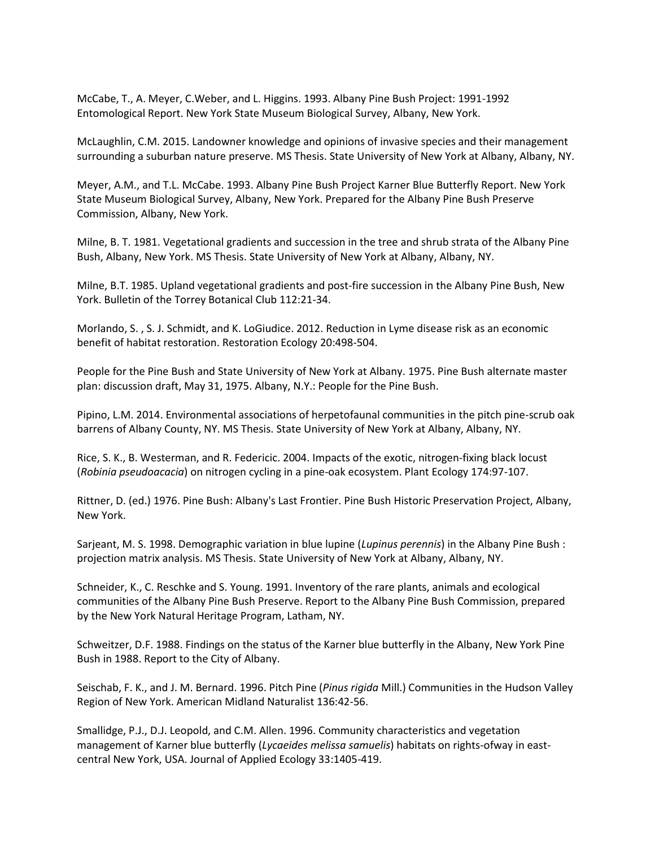McCabe, T., A. Meyer, C.Weber, and L. Higgins. 1993. Albany Pine Bush Project: 1991-1992 Entomological Report. New York State Museum Biological Survey, Albany, New York.

McLaughlin, C.M. 2015. Landowner knowledge and opinions of invasive species and their management surrounding a suburban nature preserve. MS Thesis. State University of New York at Albany, Albany, NY.

Meyer, A.M., and T.L. McCabe. 1993. Albany Pine Bush Project Karner Blue Butterfly Report. New York State Museum Biological Survey, Albany, New York. Prepared for the Albany Pine Bush Preserve Commission, Albany, New York.

Milne, B. T. 1981. Vegetational gradients and succession in the tree and shrub strata of the Albany Pine Bush, Albany, New York. MS Thesis. State University of New York at Albany, Albany, NY.

Milne, B.T. 1985. Upland vegetational gradients and post-fire succession in the Albany Pine Bush, New York. Bulletin of the Torrey Botanical Club 112:21-34.

Morlando, S. , S. J. Schmidt, and K. LoGiudice. 2012. Reduction in Lyme disease risk as an economic benefit of habitat restoration. Restoration Ecology 20:498-504.

People for the Pine Bush and State University of New York at Albany. 1975. Pine Bush alternate master plan: discussion draft, May 31, 1975. Albany, N.Y.: People for the Pine Bush.

Pipino, L.M. 2014. Environmental associations of herpetofaunal communities in the pitch pine-scrub oak barrens of Albany County, NY. MS Thesis. State University of New York at Albany, Albany, NY.

Rice, S. K., B. Westerman, and R. Federicic. 2004. Impacts of the exotic, nitrogen-fixing black locust (*Robinia pseudoacacia*) on nitrogen cycling in a pine-oak ecosystem. Plant Ecology 174:97-107.

Rittner, D. (ed.) 1976. Pine Bush: Albany's Last Frontier. Pine Bush Historic Preservation Project, Albany, New York.

Sarjeant, M. S. 1998. Demographic variation in blue lupine (*Lupinus perennis*) in the Albany Pine Bush : projection matrix analysis. MS Thesis. State University of New York at Albany, Albany, NY.

Schneider, K., C. Reschke and S. Young. 1991. Inventory of the rare plants, animals and ecological communities of the Albany Pine Bush Preserve. Report to the Albany Pine Bush Commission, prepared by the New York Natural Heritage Program, Latham, NY.

Schweitzer, D.F. 1988. Findings on the status of the Karner blue butterfly in the Albany, New York Pine Bush in 1988. Report to the City of Albany.

Seischab, F. K., and J. M. Bernard. 1996. Pitch Pine (*Pinus rigida* Mill.) Communities in the Hudson Valley Region of New York. American Midland Naturalist 136:42-56.

Smallidge, P.J., D.J. Leopold, and C.M. Allen. 1996. Community characteristics and vegetation management of Karner blue butterfly (*Lycaeides melissa samuelis*) habitats on rights-ofway in eastcentral New York, USA. Journal of Applied Ecology 33:1405-419.